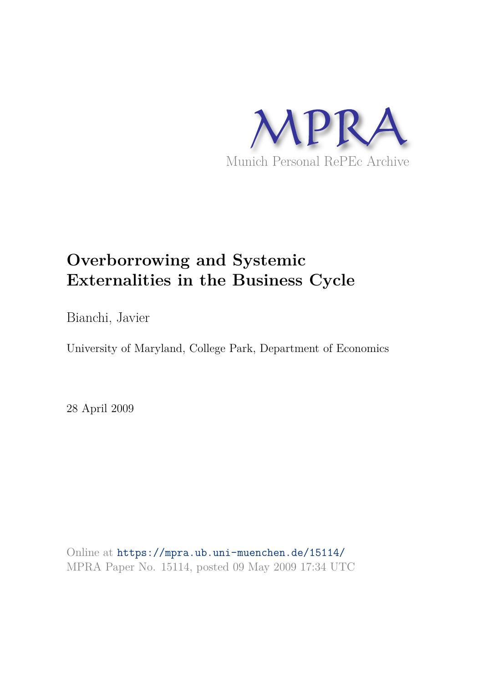

# **Overborrowing and Systemic Externalities in the Business Cycle**

Bianchi, Javier

University of Maryland, College Park, Department of Economics

28 April 2009

Online at https://mpra.ub.uni-muenchen.de/15114/ MPRA Paper No. 15114, posted 09 May 2009 17:34 UTC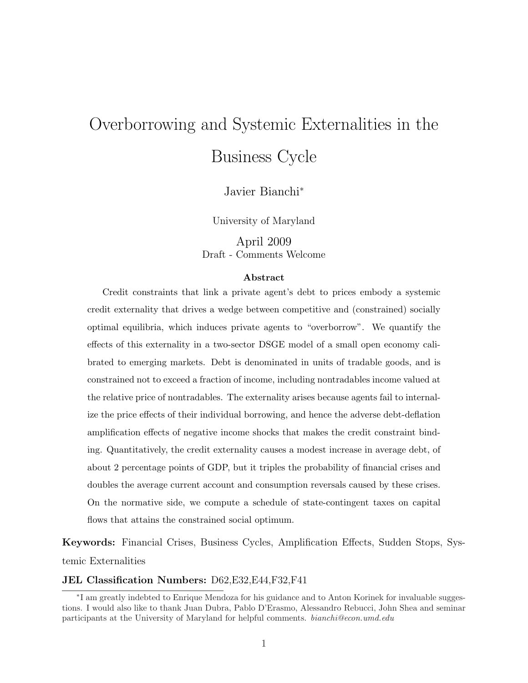# Overborrowing and Systemic Externalities in the Business Cycle

Javier Bianchi<sup>∗</sup>

University of Maryland

April 2009 Draft - Comments Welcome

#### Abstract

Credit constraints that link a private agent's debt to prices embody a systemic credit externality that drives a wedge between competitive and (constrained) socially optimal equilibria, which induces private agents to "overborrow". We quantify the effects of this externality in a two-sector DSGE model of a small open economy calibrated to emerging markets. Debt is denominated in units of tradable goods, and is constrained not to exceed a fraction of income, including nontradables income valued at the relative price of nontradables. The externality arises because agents fail to internalize the price effects of their individual borrowing, and hence the adverse debt-deflation amplification effects of negative income shocks that makes the credit constraint binding. Quantitatively, the credit externality causes a modest increase in average debt, of about 2 percentage points of GDP, but it triples the probability of financial crises and doubles the average current account and consumption reversals caused by these crises. On the normative side, we compute a schedule of state-contingent taxes on capital flows that attains the constrained social optimum.

Keywords: Financial Crises, Business Cycles, Amplification Effects, Sudden Stops, Systemic Externalities

### JEL Classification Numbers: D62,E32,E44,F32,F41

<sup>∗</sup> I am greatly indebted to Enrique Mendoza for his guidance and to Anton Korinek for invaluable suggestions. I would also like to thank Juan Dubra, Pablo D'Erasmo, Alessandro Rebucci, John Shea and seminar participants at the University of Maryland for helpful comments. bianchi@econ.umd.edu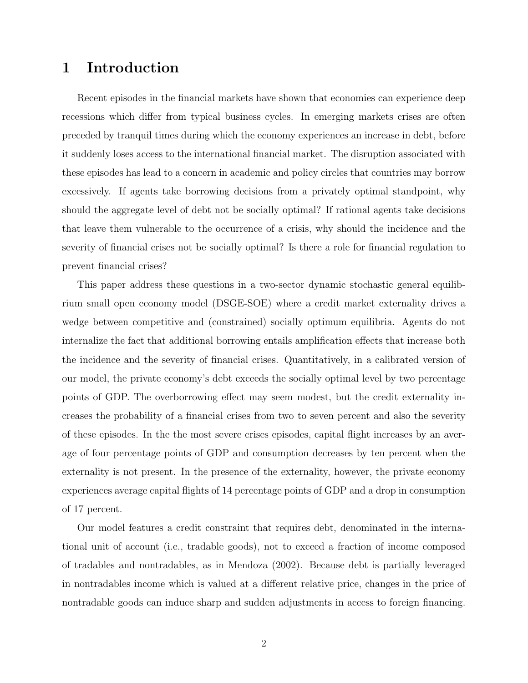### 1 Introduction

Recent episodes in the financial markets have shown that economies can experience deep recessions which differ from typical business cycles. In emerging markets crises are often preceded by tranquil times during which the economy experiences an increase in debt, before it suddenly loses access to the international financial market. The disruption associated with these episodes has lead to a concern in academic and policy circles that countries may borrow excessively. If agents take borrowing decisions from a privately optimal standpoint, why should the aggregate level of debt not be socially optimal? If rational agents take decisions that leave them vulnerable to the occurrence of a crisis, why should the incidence and the severity of financial crises not be socially optimal? Is there a role for financial regulation to prevent financial crises?

This paper address these questions in a two-sector dynamic stochastic general equilibrium small open economy model (DSGE-SOE) where a credit market externality drives a wedge between competitive and (constrained) socially optimum equilibria. Agents do not internalize the fact that additional borrowing entails amplification effects that increase both the incidence and the severity of financial crises. Quantitatively, in a calibrated version of our model, the private economy's debt exceeds the socially optimal level by two percentage points of GDP. The overborrowing effect may seem modest, but the credit externality increases the probability of a financial crises from two to seven percent and also the severity of these episodes. In the the most severe crises episodes, capital flight increases by an average of four percentage points of GDP and consumption decreases by ten percent when the externality is not present. In the presence of the externality, however, the private economy experiences average capital flights of 14 percentage points of GDP and a drop in consumption of 17 percent.

Our model features a credit constraint that requires debt, denominated in the international unit of account (i.e., tradable goods), not to exceed a fraction of income composed of tradables and nontradables, as in Mendoza (2002). Because debt is partially leveraged in nontradables income which is valued at a different relative price, changes in the price of nontradable goods can induce sharp and sudden adjustments in access to foreign financing.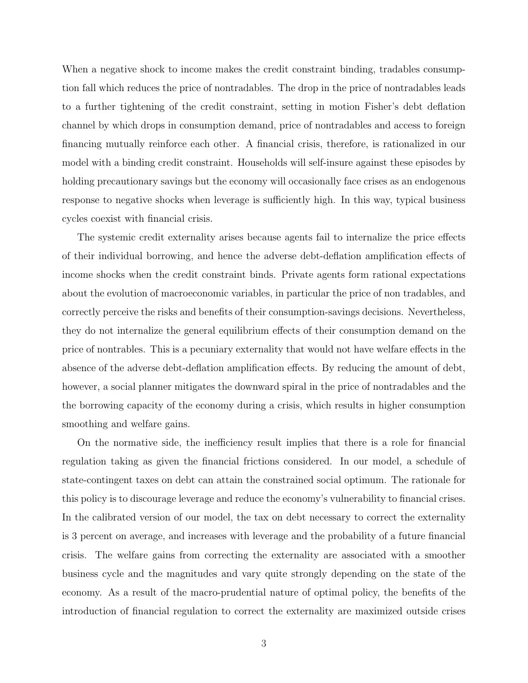When a negative shock to income makes the credit constraint binding, tradables consumption fall which reduces the price of nontradables. The drop in the price of nontradables leads to a further tightening of the credit constraint, setting in motion Fisher's debt deflation channel by which drops in consumption demand, price of nontradables and access to foreign financing mutually reinforce each other. A financial crisis, therefore, is rationalized in our model with a binding credit constraint. Households will self-insure against these episodes by holding precautionary savings but the economy will occasionally face crises as an endogenous response to negative shocks when leverage is sufficiently high. In this way, typical business cycles coexist with financial crisis.

The systemic credit externality arises because agents fail to internalize the price effects of their individual borrowing, and hence the adverse debt-deflation amplification effects of income shocks when the credit constraint binds. Private agents form rational expectations about the evolution of macroeconomic variables, in particular the price of non tradables, and correctly perceive the risks and benefits of their consumption-savings decisions. Nevertheless, they do not internalize the general equilibrium effects of their consumption demand on the price of nontrables. This is a pecuniary externality that would not have welfare effects in the absence of the adverse debt-deflation amplification effects. By reducing the amount of debt, however, a social planner mitigates the downward spiral in the price of nontradables and the the borrowing capacity of the economy during a crisis, which results in higher consumption smoothing and welfare gains.

On the normative side, the inefficiency result implies that there is a role for financial regulation taking as given the financial frictions considered. In our model, a schedule of state-contingent taxes on debt can attain the constrained social optimum. The rationale for this policy is to discourage leverage and reduce the economy's vulnerability to financial crises. In the calibrated version of our model, the tax on debt necessary to correct the externality is 3 percent on average, and increases with leverage and the probability of a future financial crisis. The welfare gains from correcting the externality are associated with a smoother business cycle and the magnitudes and vary quite strongly depending on the state of the economy. As a result of the macro-prudential nature of optimal policy, the benefits of the introduction of financial regulation to correct the externality are maximized outside crises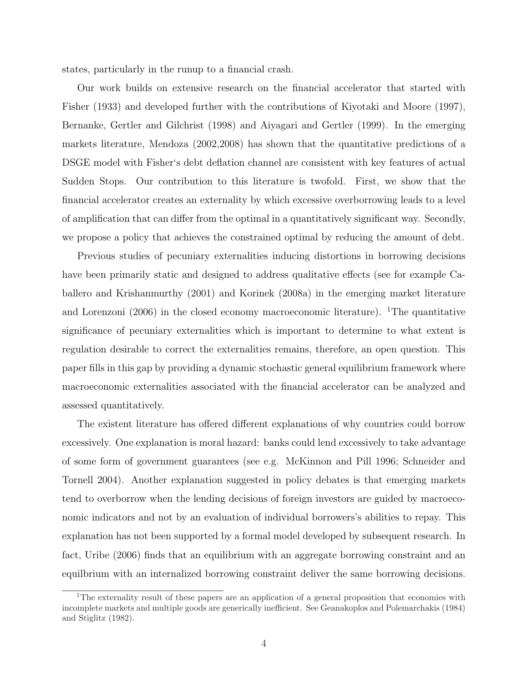states, particularly in the runup to a financial crash.

Our work builds on extensive research on the financial accelerator that started with Fisher (1933) and developed further with the contributions of Kiyotaki and Moore (1997), Bernanke, Gertler and Gilchrist (1998) and Aiyagari and Gertler (1999). In the emerging markets literature, Mendoza (2002,2008) has shown that the quantitative predictions of a DSGE model with Fisher's debt deflation channel are consistent with key features of actual Sudden Stops. Our contribution to this literature is twofold. First, we show that the financial accelerator creates an externality by which excessive overborrowing leads to a level of amplification that can differ from the optimal in a quantitatively significant way. Secondly, we propose a policy that achieves the constrained optimal by reducing the amount of debt.

Previous studies of pecuniary externalities inducing distortions in borrowing decisions have been primarily static and designed to address qualitative effects (see for example Caballero and Krishanmurthy (2001) and Korinek (2008a) in the emerging market literature and Lorenzoni (2006) in the closed economy macroeconomic literature). <sup>1</sup>The quantitative significance of pecuniary externalities which is important to determine to what extent is regulation desirable to correct the externalities remains, therefore, an open question. This paper fills in this gap by providing a dynamic stochastic general equilibrium framework where macroeconomic externalities associated with the financial accelerator can be analyzed and assessed quantitatively.

The existent literature has offered different explanations of why countries could borrow excessively. One explanation is moral hazard: banks could lend excessively to take advantage of some form of government guarantees (see e.g. McKinnon and Pill 1996; Schneider and Tornell 2004). Another explanation suggested in policy debates is that emerging markets tend to overborrow when the lending decisions of foreign investors are guided by macroeconomic indicators and not by an evaluation of individual borrowers's abilities to repay. This explanation has not been supported by a formal model developed by subsequent research. In fact, Uribe (2006) finds that an equilibrium with an aggregate borrowing constraint and an equilbrium with an internalized borrowing constraint deliver the same borrowing decisions.

<sup>&</sup>lt;sup>1</sup>The externality result of these papers are an application of a general proposition that economies with incomplete markets and multiple goods are generically inefficient. See Geanakoplos and Polemarchakis (1984) and Stiglitz (1982).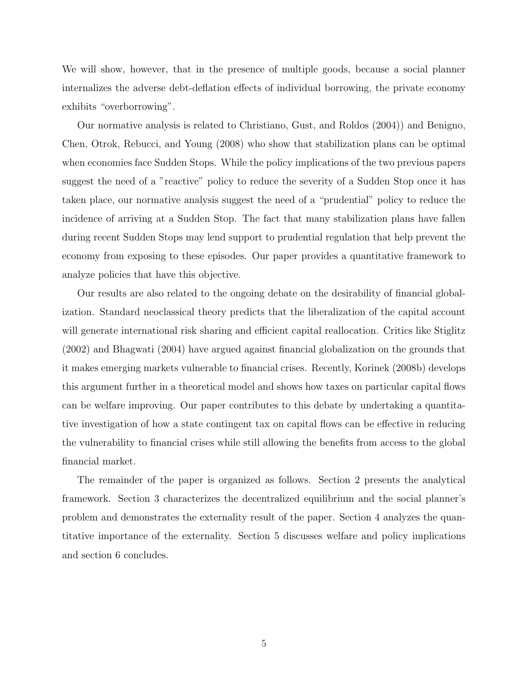We will show, however, that in the presence of multiple goods, because a social planner internalizes the adverse debt-deflation effects of individual borrowing, the private economy exhibits "overborrowing".

Our normative analysis is related to Christiano, Gust, and Roldos (2004)) and Benigno, Chen, Otrok, Rebucci, and Young (2008) who show that stabilization plans can be optimal when economies face Sudden Stops. While the policy implications of the two previous papers suggest the need of a "reactive" policy to reduce the severity of a Sudden Stop once it has taken place, our normative analysis suggest the need of a "prudential" policy to reduce the incidence of arriving at a Sudden Stop. The fact that many stabilization plans have fallen during recent Sudden Stops may lend support to prudential regulation that help prevent the economy from exposing to these episodes. Our paper provides a quantitative framework to analyze policies that have this objective.

Our results are also related to the ongoing debate on the desirability of financial globalization. Standard neoclassical theory predicts that the liberalization of the capital account will generate international risk sharing and efficient capital reallocation. Critics like Stiglitz (2002) and Bhagwati (2004) have argued against financial globalization on the grounds that it makes emerging markets vulnerable to financial crises. Recently, Korinek (2008b) develops this argument further in a theoretical model and shows how taxes on particular capital flows can be welfare improving. Our paper contributes to this debate by undertaking a quantitative investigation of how a state contingent tax on capital flows can be effective in reducing the vulnerability to financial crises while still allowing the benefits from access to the global financial market.

The remainder of the paper is organized as follows. Section 2 presents the analytical framework. Section 3 characterizes the decentralized equilibrium and the social planner's problem and demonstrates the externality result of the paper. Section 4 analyzes the quantitative importance of the externality. Section 5 discusses welfare and policy implications and section 6 concludes.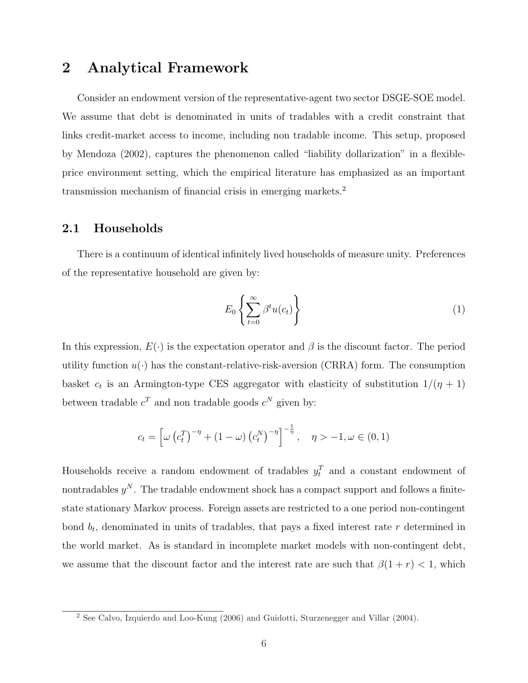### 2 Analytical Framework

Consider an endowment version of the representative-agent two sector DSGE-SOE model. We assume that debt is denominated in units of tradables with a credit constraint that links credit-market access to income, including non tradable income. This setup, proposed by Mendoza (2002), captures the phenomenon called "liability dollarization" in a flexibleprice environment setting, which the empirical literature has emphasized as an important transmission mechanism of financial crisis in emerging markets.<sup>2</sup>

### 2.1 Households

There is a continuum of identical infinitely lived households of measure unity. Preferences of the representative household are given by:

$$
E_0 \left\{ \sum_{t=0}^{\infty} \beta^t u(c_t) \right\} \tag{1}
$$

In this expression,  $E(\cdot)$  is the expectation operator and  $\beta$  is the discount factor. The period utility function  $u(\cdot)$  has the constant-relative-risk-aversion (CRRA) form. The consumption basket  $c_t$  is an Armington-type CES aggregator with elasticity of substitution  $1/(\eta + 1)$ between tradable  $c^T$  and non tradable goods  $c^N$  given by:

$$
c_t = \left[ \omega \left( c_t^T \right)^{-\eta} + (1 - \omega) \left( c_t^N \right)^{-\eta} \right]^{-\frac{1}{\eta}}, \quad \eta > -1, \omega \in (0, 1)
$$

Households receive a random endowment of tradables  $y_t^T$  and a constant endowment of nontradables  $y^N$ . The tradable endowment shock has a compact support and follows a finitestate stationary Markov process. Foreign assets are restricted to a one period non-contingent bond  $b_t$ , denominated in units of tradables, that pays a fixed interest rate r determined in the world market. As is standard in incomplete market models with non-contingent debt, we assume that the discount factor and the interest rate are such that  $\beta(1+r) < 1$ , which

<sup>&</sup>lt;sup>2</sup> See Calvo, Izquierdo and Loo-Kung (2006) and Guidotti, Sturzenegger and Villar (2004).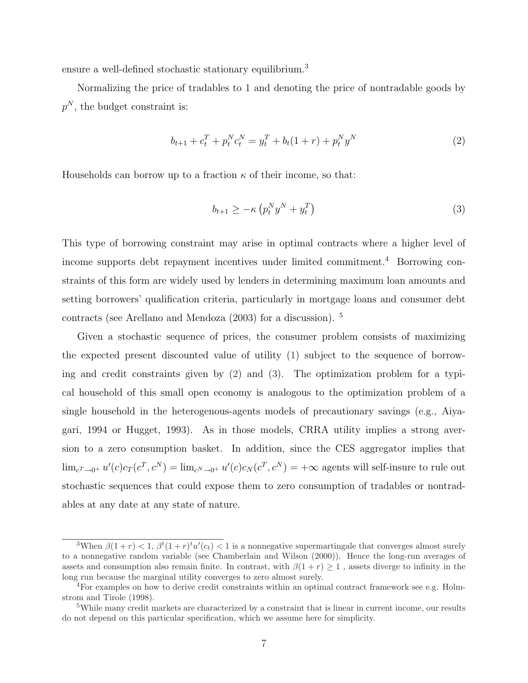ensure a well-defined stochastic stationary equilibrium.<sup>3</sup>

Normalizing the price of tradables to 1 and denoting the price of nontradable goods by  $p^N$ , the budget constraint is:

$$
b_{t+1} + c_t^T + p_t^N c_t^N = y_t^T + b_t(1+r) + p_t^N y^N
$$
\n(2)

Households can borrow up to a fraction  $\kappa$  of their income, so that:

$$
b_{t+1} \ge -\kappa \left( p_t^N y^N + y_t^T \right) \tag{3}
$$

This type of borrowing constraint may arise in optimal contracts where a higher level of income supports debt repayment incentives under limited commitment.<sup>4</sup> Borrowing constraints of this form are widely used by lenders in determining maximum loan amounts and setting borrowers' qualification criteria, particularly in mortgage loans and consumer debt contracts (see Arellano and Mendoza (2003) for a discussion). <sup>5</sup>

Given a stochastic sequence of prices, the consumer problem consists of maximizing the expected present discounted value of utility (1) subject to the sequence of borrowing and credit constraints given by (2) and (3). The optimization problem for a typical household of this small open economy is analogous to the optimization problem of a single household in the heterogenous-agents models of precautionary savings (e.g., Aiyagari, 1994 or Hugget, 1993). As in those models, CRRA utility implies a strong aversion to a zero consumption basket. In addition, since the CES aggregator implies that  $\lim_{c^T \to 0^+} u'(c)c_T(c^T, c^N) = \lim_{c^N \to 0^+} u'(c)c_N(c^T, c^N) = +\infty$  agents will self-insure to rule out stochastic sequences that could expose them to zero consumption of tradables or nontradables at any date at any state of nature.

<sup>&</sup>lt;sup>3</sup>When  $\beta(1+r) < 1$ ,  $\beta^t(1+r)^t u'(c_t) < 1$  is a nonnegative supermartingale that converges almost surely to a nonnegative random variable (see Chamberlain and Wilson (2000)). Hence the long-run averages of assets and consumption also remain finite. In contrast, with  $\beta(1 + r) \geq 1$ , assets diverge to infinity in the long run because the marginal utility converges to zero almost surely.

<sup>4</sup>For examples on how to derive credit constraints within an optimal contract framework see e.g. Holmstrom and Tirole (1998).

<sup>5</sup>While many credit markets are characterized by a constraint that is linear in current income, our results do not depend on this particular specification, which we assume here for simplicity.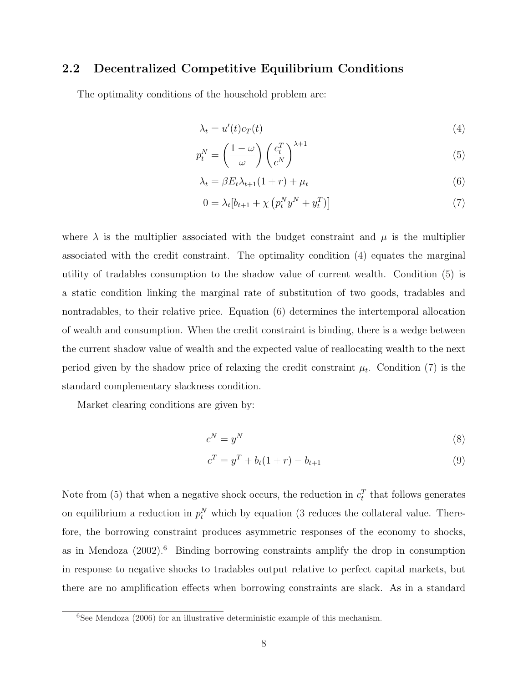### 2.2 Decentralized Competitive Equilibrium Conditions

The optimality conditions of the household problem are:

$$
\lambda_t = u'(t)c_T(t) \tag{4}
$$

$$
p_t^N = \left(\frac{1-\omega}{\omega}\right) \left(\frac{c_t^T}{c^N}\right)^{\lambda+1} \tag{5}
$$

$$
\lambda_t = \beta E_t \lambda_{t+1} (1+r) + \mu_t \tag{6}
$$

$$
0 = \lambda_t [b_{t+1} + \chi \left( p_t^N y^N + y_t^T \right)] \tag{7}
$$

where  $\lambda$  is the multiplier associated with the budget constraint and  $\mu$  is the multiplier associated with the credit constraint. The optimality condition (4) equates the marginal utility of tradables consumption to the shadow value of current wealth. Condition (5) is a static condition linking the marginal rate of substitution of two goods, tradables and nontradables, to their relative price. Equation (6) determines the intertemporal allocation of wealth and consumption. When the credit constraint is binding, there is a wedge between the current shadow value of wealth and the expected value of reallocating wealth to the next period given by the shadow price of relaxing the credit constraint  $\mu_t$ . Condition (7) is the standard complementary slackness condition.

Market clearing conditions are given by:

$$
c^N = y^N \tag{8}
$$

$$
c^T = y^T + b_t(1+r) - b_{t+1}
$$
\n(9)

Note from (5) that when a negative shock occurs, the reduction in  $c_t^T$  that follows generates on equilibrium a reduction in  $p_t^N$  which by equation (3 reduces the collateral value. Therefore, the borrowing constraint produces asymmetric responses of the economy to shocks, as in Mendoza  $(2002)$ .<sup>6</sup> Binding borrowing constraints amplify the drop in consumption in response to negative shocks to tradables output relative to perfect capital markets, but there are no amplification effects when borrowing constraints are slack. As in a standard

 $\sqrt[6]{\text{See Mendoza}$  (2006) for an illustrative deterministic example of this mechanism.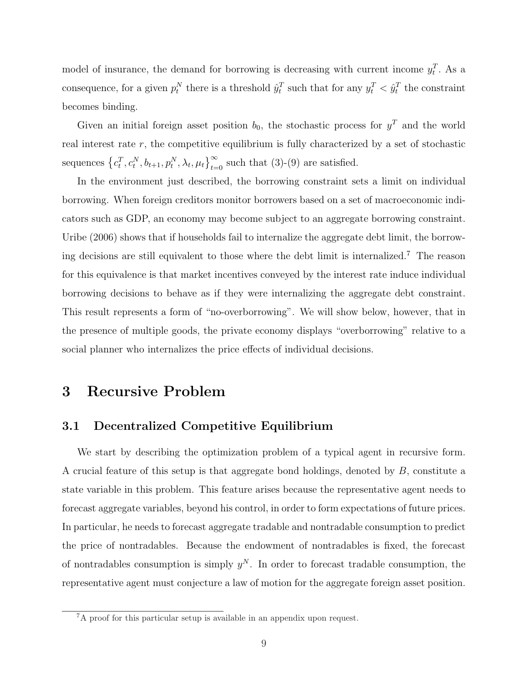model of insurance, the demand for borrowing is decreasing with current income  $y_t^T$ . As a consequence, for a given  $p_t^N$  there is a threshold  $\hat{y}_t^T$  such that for any  $y_t^T < \hat{y}_t^T$  the constraint becomes binding.

Given an initial foreign asset position  $b_0$ , the stochastic process for  $y<sup>T</sup>$  and the world real interest rate  $r$ , the competitive equilibrium is fully characterized by a set of stochastic sequences  $\{c_t^T, c_t^N, b_{t+1}, p_t^N, \lambda_t, \mu_t\}_{t=0}^{\infty}$  such that (3)-(9) are satisfied.

In the environment just described, the borrowing constraint sets a limit on individual borrowing. When foreign creditors monitor borrowers based on a set of macroeconomic indicators such as GDP, an economy may become subject to an aggregate borrowing constraint. Uribe (2006) shows that if households fail to internalize the aggregate debt limit, the borrowing decisions are still equivalent to those where the debt limit is internalized.<sup>7</sup> The reason for this equivalence is that market incentives conveyed by the interest rate induce individual borrowing decisions to behave as if they were internalizing the aggregate debt constraint. This result represents a form of "no-overborrowing". We will show below, however, that in the presence of multiple goods, the private economy displays "overborrowing" relative to a social planner who internalizes the price effects of individual decisions.

### 3 Recursive Problem

### 3.1 Decentralized Competitive Equilibrium

We start by describing the optimization problem of a typical agent in recursive form. A crucial feature of this setup is that aggregate bond holdings, denoted by B, constitute a state variable in this problem. This feature arises because the representative agent needs to forecast aggregate variables, beyond his control, in order to form expectations of future prices. In particular, he needs to forecast aggregate tradable and nontradable consumption to predict the price of nontradables. Because the endowment of nontradables is fixed, the forecast of nontradables consumption is simply  $y^N$ . In order to forecast tradable consumption, the representative agent must conjecture a law of motion for the aggregate foreign asset position.

<sup>&</sup>lt;sup>7</sup>A proof for this particular setup is available in an appendix upon request.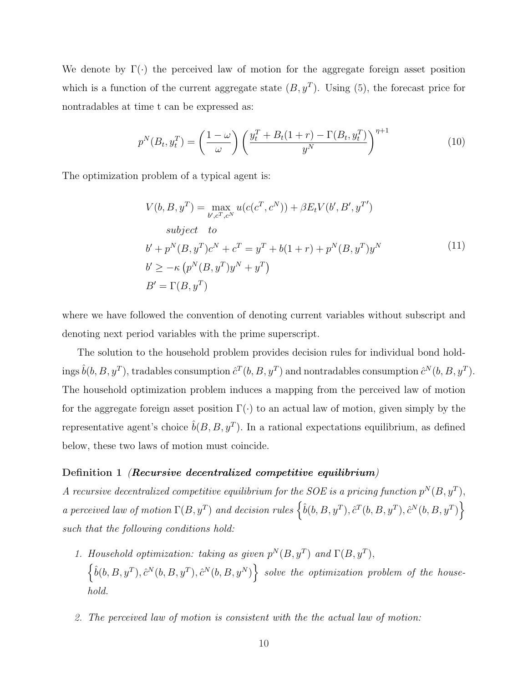We denote by  $\Gamma(\cdot)$  the perceived law of motion for the aggregate foreign asset position which is a function of the current aggregate state  $(B, y^T)$ . Using  $(5)$ , the forecast price for nontradables at time t can be expressed as:

$$
p^N(B_t, y_t^T) = \left(\frac{1-\omega}{\omega}\right) \left(\frac{y_t^T + B_t(1+r) - \Gamma(B_t, y_t^T)}{y^N}\right)^{\eta+1}
$$
(10)

The optimization problem of a typical agent is:

$$
V(b, B, y^T) = \max_{b', c^T, c^N} u(c(c^T, c^N)) + \beta E_t V(b', B', y^{T'})
$$
  
\nsubject to  
\n
$$
b' + p^N(B, y^T)c^N + c^T = y^T + b(1+r) + p^N(B, y^T)y^N
$$
  
\n
$$
b' \geq -\kappa (p^N(B, y^T)y^N + y^T)
$$
  
\n
$$
B' = \Gamma(B, y^T)
$$
 (11)

where we have followed the convention of denoting current variables without subscript and denoting next period variables with the prime superscript.

The solution to the household problem provides decision rules for individual bond holdings  $\hat{b}(b, B, y^T)$ , tradables consumption  $\hat{c}^T(b, B, y^T)$  and nontradables consumption  $\hat{c}^N(b, B, y^T)$ . The household optimization problem induces a mapping from the perceived law of motion for the aggregate foreign asset position  $\Gamma(\cdot)$  to an actual law of motion, given simply by the representative agent's choice  $\hat{b}(B, B, y^T)$ . In a rational expectations equilibrium, as defined below, these two laws of motion must coincide.

### Definition 1 *(Recursive decentralized competitive equilibrium)*

A recursive decentralized competitive equilibrium for the SOE is a pricing function  $p^N(B, y^T)$ , a perceived law of motion  $\Gamma(B, y^T)$  and decision rules  $\{\hat{b}(b, B, y^T), \hat{c}^T(b, B, y^T), \hat{c}^N(b, B, y^T)\}$ such that the following conditions hold:

- 1. Household optimization: taking as given  $p^N(B, y^T)$  and  $\Gamma(B, y^T)$ ,  $\left\{\hat{b}(b,B,y^T),\hat{c}^N(b,B,y^T),\hat{c}^N(b,B,y^N)\right\}$  solve the optimization problem of the household.
- 2. The perceived law of motion is consistent with the the actual law of motion: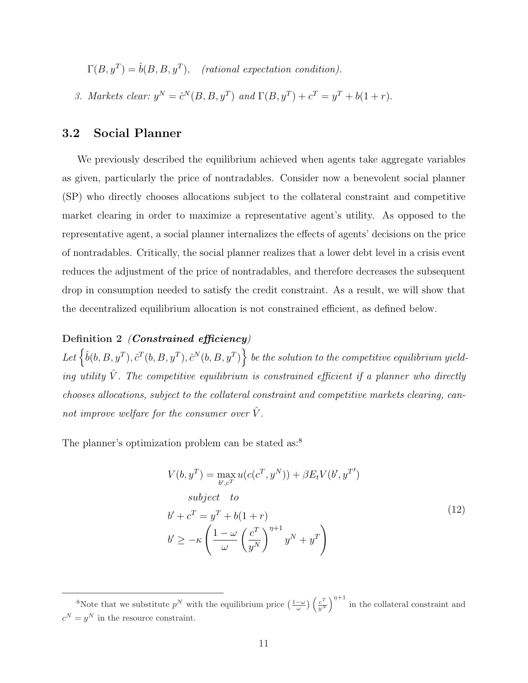$\Gamma(B, y^T) = \hat{b}(B, B, y^T)$ , (rational expectation condition).

3. Markets clear:  $y^N = \hat{c}^N(B, B, y^T)$  and  $\Gamma(B, y^T) + c^T = y^T + b(1+r)$ .

### 3.2 Social Planner

We previously described the equilibrium achieved when agents take aggregate variables as given, particularly the price of nontradables. Consider now a benevolent social planner (SP) who directly chooses allocations subject to the collateral constraint and competitive market clearing in order to maximize a representative agent's utility. As opposed to the representative agent, a social planner internalizes the effects of agents' decisions on the price of nontradables. Critically, the social planner realizes that a lower debt level in a crisis event reduces the adjustment of the price of nontradables, and therefore decreases the subsequent drop in consumption needed to satisfy the credit constraint. As a result, we will show that the decentralized equilibrium allocation is not constrained efficient, as defined below.

### Definition 2 *(Constrained efficiency)*

Let  $\left\{\hat{b}(b,B,y^T), \hat{c}^T(b,B,y^T), \hat{c}^N(b,B,y^T)\right\}$  be the solution to the competitive equilibrium yielding utility  $\hat{V}$ . The competitive equilibrium is constrained efficient if a planner who directly chooses allocations, subject to the collateral constraint and competitive markets clearing, cannot improve welfare for the consumer over  $\hat{V}$ .

The planner's optimization problem can be stated as:<sup>8</sup>

$$
V(b, y^T) = \max_{b', c^T} u(c(c^T, y^N)) + \beta E_t V(b', y^{T'})
$$
  
subject to  

$$
b' + c^T = y^T + b(1+r)
$$

$$
b' \ge -\kappa \left(\frac{1-\omega}{\omega} \left(\frac{c^T}{y^N}\right)^{\eta+1} y^N + y^T\right)
$$
 (12)

<sup>&</sup>lt;sup>8</sup>Note that we substitute  $p^N$  with the equilibrium price  $\left(\frac{1-\omega}{\omega}\right)\left(\frac{c^T}{y^N}\right)$  $\left(\frac{c^T}{y^N}\right)^{\eta+1}$  in the collateral constraint and  $c^N = y^N$  in the resource constraint.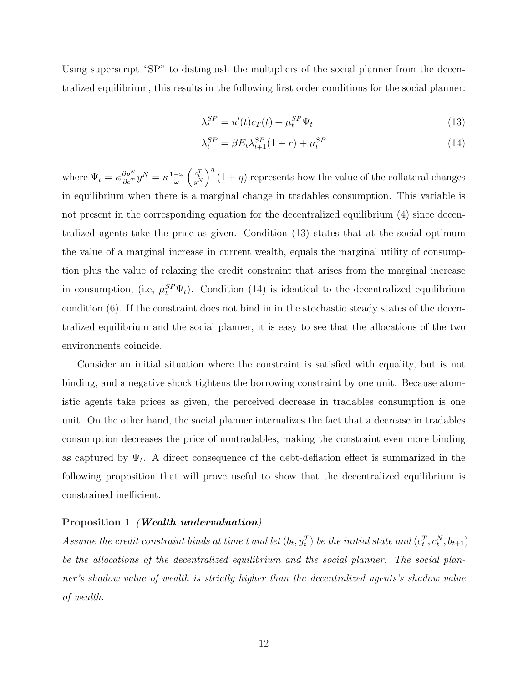Using superscript "SP" to distinguish the multipliers of the social planner from the decentralized equilibrium, this results in the following first order conditions for the social planner:

$$
\lambda_t^{SP} = u'(t)c_T(t) + \mu_t^{SP}\Psi_t
$$
\n(13)

$$
\lambda_t^{SP} = \beta E_t \lambda_{t+1}^{SP} (1+r) + \mu_t^{SP} \tag{14}
$$

where  $\Psi_t = \kappa \frac{\partial p^N}{\partial c^T} y^N = \kappa \frac{1-\omega}{\omega}$  $\frac{-\omega}{\omega} \left(\frac{c_t^T}{y^N}\right)^{\eta} (1+\eta)$  represents how the value of the collateral changes in equilibrium when there is a marginal change in tradables consumption. This variable is not present in the corresponding equation for the decentralized equilibrium (4) since decentralized agents take the price as given. Condition (13) states that at the social optimum the value of a marginal increase in current wealth, equals the marginal utility of consumption plus the value of relaxing the credit constraint that arises from the marginal increase in consumption, (i.e,  $\mu_t^{SP} \Psi_t$ ). Condition (14) is identical to the decentralized equilibrium condition (6). If the constraint does not bind in in the stochastic steady states of the decentralized equilibrium and the social planner, it is easy to see that the allocations of the two environments coincide.

Consider an initial situation where the constraint is satisfied with equality, but is not binding, and a negative shock tightens the borrowing constraint by one unit. Because atomistic agents take prices as given, the perceived decrease in tradables consumption is one unit. On the other hand, the social planner internalizes the fact that a decrease in tradables consumption decreases the price of nontradables, making the constraint even more binding as captured by  $\Psi_t$ . A direct consequence of the debt-deflation effect is summarized in the following proposition that will prove useful to show that the decentralized equilibrium is constrained inefficient.

### Proposition 1 *(Wealth undervaluation)*

Assume the credit constraint binds at time t and let  $(b_t, y_t^T)$  be the initial state and  $(c_t^T, c_t^N, b_{t+1})$ be the allocations of the decentralized equilibrium and the social planner. The social planner's shadow value of wealth is strictly higher than the decentralized agents's shadow value of wealth.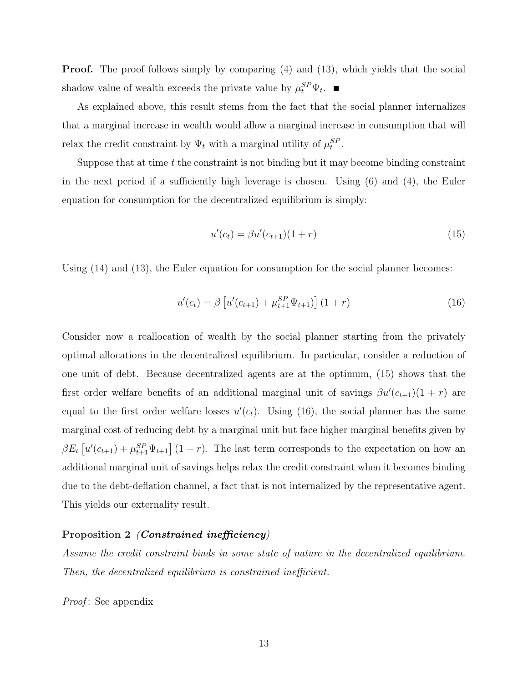**Proof.** The proof follows simply by comparing (4) and (13), which yields that the social shadow value of wealth exceeds the private value by  $\mu_t^{SP} \Psi_t$ .

As explained above, this result stems from the fact that the social planner internalizes that a marginal increase in wealth would allow a marginal increase in consumption that will relax the credit constraint by  $\Psi_t$  with a marginal utility of  $\mu_t^{SP}$ .

Suppose that at time  $t$  the constraint is not binding but it may become binding constraint in the next period if a sufficiently high leverage is chosen. Using (6) and (4), the Euler equation for consumption for the decentralized equilibrium is simply:

$$
u'(c_t) = \beta u'(c_{t+1})(1+r)
$$
\n(15)

Using  $(14)$  and  $(13)$ , the Euler equation for consumption for the social planner becomes:

$$
u'(c_t) = \beta \left[ u'(c_{t+1}) + \mu_{t+1}^{SP} \Psi_{t+1} \right] (1+r)
$$
\n(16)

Consider now a reallocation of wealth by the social planner starting from the privately optimal allocations in the decentralized equilibrium. In particular, consider a reduction of one unit of debt. Because decentralized agents are at the optimum, (15) shows that the first order welfare benefits of an additional marginal unit of savings  $\beta u'(c_{t+1})(1+r)$  are equal to the first order welfare losses  $u'(c_t)$ . Using (16), the social planner has the same marginal cost of reducing debt by a marginal unit but face higher marginal benefits given by  $\beta E_t \left[ u'(c_{t+1}) + \mu_{t+1}^{SP} \Psi_{t+1} \right] (1+r)$ . The last term corresponds to the expectation on how an additional marginal unit of savings helps relax the credit constraint when it becomes binding due to the debt-deflation channel, a fact that is not internalized by the representative agent. This yields our externality result.

### Proposition 2 *(Constrained inefficiency)*

Assume the credit constraint binds in some state of nature in the decentralized equilibrium. Then, the decentralized equilibrium is constrained inefficient.

Proof: See appendix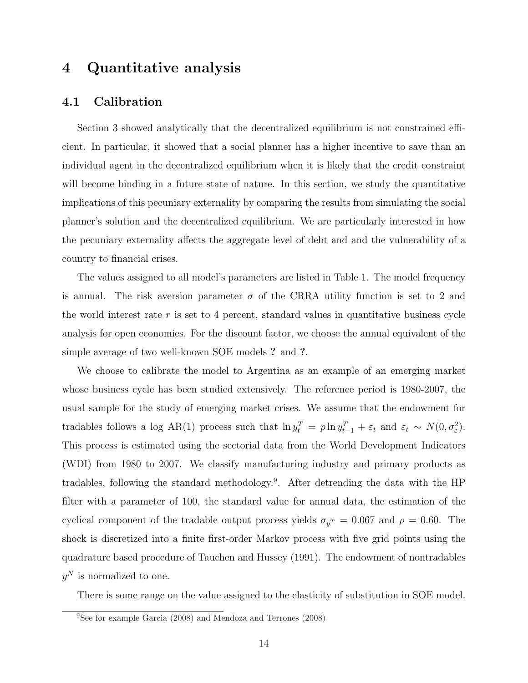### 4 Quantitative analysis

### 4.1 Calibration

Section 3 showed analytically that the decentralized equilibrium is not constrained efficient. In particular, it showed that a social planner has a higher incentive to save than an individual agent in the decentralized equilibrium when it is likely that the credit constraint will become binding in a future state of nature. In this section, we study the quantitative implications of this pecuniary externality by comparing the results from simulating the social planner's solution and the decentralized equilibrium. We are particularly interested in how the pecuniary externality affects the aggregate level of debt and and the vulnerability of a country to financial crises.

The values assigned to all model's parameters are listed in Table 1. The model frequency is annual. The risk aversion parameter  $\sigma$  of the CRRA utility function is set to 2 and the world interest rate  $r$  is set to 4 percent, standard values in quantitative business cycle analysis for open economies. For the discount factor, we choose the annual equivalent of the simple average of two well-known SOE models ? and ?.

We choose to calibrate the model to Argentina as an example of an emerging market whose business cycle has been studied extensively. The reference period is 1980-2007, the usual sample for the study of emerging market crises. We assume that the endowment for tradables follows a log AR(1) process such that  $\ln y_t^T = p \ln y_{t-1}^T + \varepsilon_t$  and  $\varepsilon_t \sim N(0, \sigma_{\varepsilon}^2)$ . This process is estimated using the sectorial data from the World Development Indicators (WDI) from 1980 to 2007. We classify manufacturing industry and primary products as tradables, following the standard methodology.<sup>9</sup> . After detrending the data with the HP filter with a parameter of 100, the standard value for annual data, the estimation of the cyclical component of the tradable output process yields  $\sigma_{yT} = 0.067$  and  $\rho = 0.60$ . The shock is discretized into a finite first-order Markov process with five grid points using the quadrature based procedure of Tauchen and Hussey (1991). The endowment of nontradables  $y^N$  is normalized to one.

There is some range on the value assigned to the elasticity of substitution in SOE model.

<sup>9</sup>See for example Garcia (2008) and Mendoza and Terrones (2008)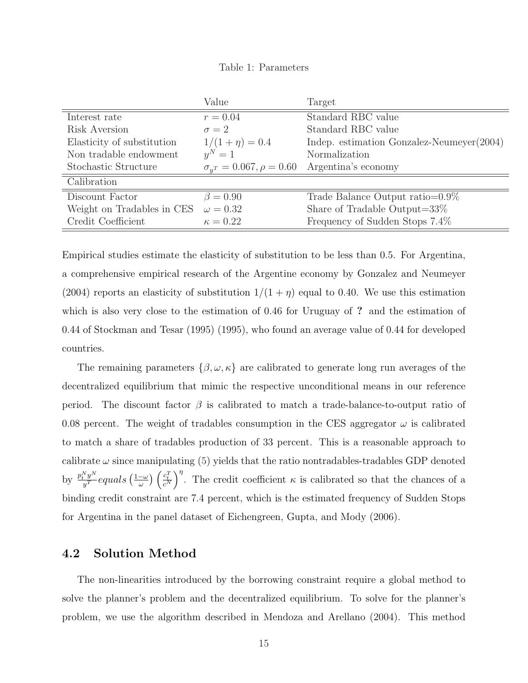Table 1: Parameters

|                            | Value                               | Target                                       |  |
|----------------------------|-------------------------------------|----------------------------------------------|--|
| Interest rate              | $r = 0.04$                          | Standard RBC value                           |  |
| Risk Aversion              | $\sigma = 2$                        | Standard RBC value                           |  |
| Elasticity of substitution | $1/(1+\eta) = 0.4$                  | Indep. estimation Gonzalez-Neumeyer $(2004)$ |  |
| Non tradable endowment     | $y^N=1$                             | Normalization                                |  |
| Stochastic Structure       | $\sigma_{u}$ = 0.067, $\rho = 0.60$ | Argentina's economy                          |  |
| Calibration                |                                     |                                              |  |
| Discount Factor            | $\beta = 0.90$                      | Trade Balance Output ratio= $0.9\%$          |  |
| Weight on Tradables in CES | $\omega = 0.32$                     | Share of Tradable Output= $33\%$             |  |
| Credit Coefficient         | $\kappa = 0.22$                     | Frequency of Sudden Stops 7.4%               |  |

Empirical studies estimate the elasticity of substitution to be less than 0.5. For Argentina, a comprehensive empirical research of the Argentine economy by Gonzalez and Neumeyer (2004) reports an elasticity of substitution  $1/(1 + \eta)$  equal to 0.40. We use this estimation which is also very close to the estimation of 0.46 for Uruguay of ? and the estimation of 0.44 of Stockman and Tesar (1995) (1995), who found an average value of 0.44 for developed countries.

The remaining parameters  $\{\beta, \omega, \kappa\}$  are calibrated to generate long run averages of the decentralized equilibrium that mimic the respective unconditional means in our reference period. The discount factor  $\beta$  is calibrated to match a trade-balance-to-output ratio of 0.08 percent. The weight of tradables consumption in the CES aggregator  $\omega$  is calibrated to match a share of tradables production of 33 percent. This is a reasonable approach to calibrate  $\omega$  since manipulating (5) yields that the ratio nontradables-tradables GDP denoted by  $\frac{p_t^N y^N}{u^T}$  $\frac{\sum\limits_{y}^{N}y^{N}}{y^{T}}$ equals  $\big(\frac{1-\omega}{\omega}\big)$  $\left(\frac{c_t^T}{c^N}\right)^{\eta}$ . The credit coefficient  $\kappa$  is calibrated so that the chances of a binding credit constraint are 7.4 percent, which is the estimated frequency of Sudden Stops for Argentina in the panel dataset of Eichengreen, Gupta, and Mody (2006).

### 4.2 Solution Method

The non-linearities introduced by the borrowing constraint require a global method to solve the planner's problem and the decentralized equilibrium. To solve for the planner's problem, we use the algorithm described in Mendoza and Arellano (2004). This method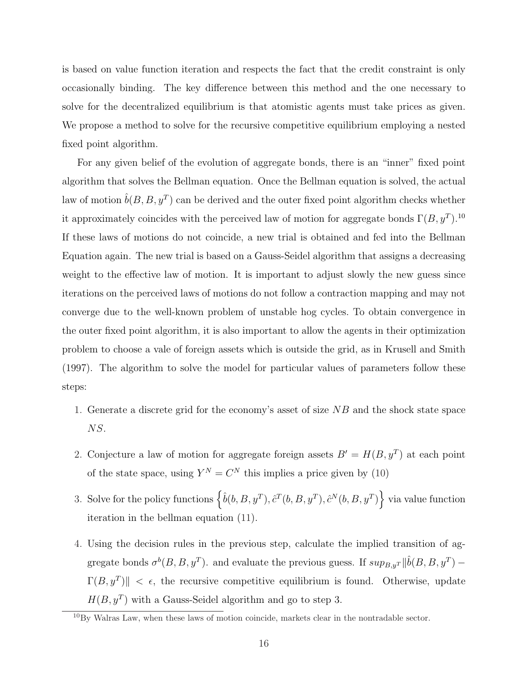is based on value function iteration and respects the fact that the credit constraint is only occasionally binding. The key difference between this method and the one necessary to solve for the decentralized equilibrium is that atomistic agents must take prices as given. We propose a method to solve for the recursive competitive equilibrium employing a nested fixed point algorithm.

For any given belief of the evolution of aggregate bonds, there is an "inner" fixed point algorithm that solves the Bellman equation. Once the Bellman equation is solved, the actual law of motion  $\hat{b}(B,B,y^T)$  can be derived and the outer fixed point algorithm checks whether it approximately coincides with the perceived law of motion for aggregate bonds  $\Gamma(B, y^T)$ .<sup>10</sup> If these laws of motions do not coincide, a new trial is obtained and fed into the Bellman Equation again. The new trial is based on a Gauss-Seidel algorithm that assigns a decreasing weight to the effective law of motion. It is important to adjust slowly the new guess since iterations on the perceived laws of motions do not follow a contraction mapping and may not converge due to the well-known problem of unstable hog cycles. To obtain convergence in the outer fixed point algorithm, it is also important to allow the agents in their optimization problem to choose a vale of foreign assets which is outside the grid, as in Krusell and Smith (1997). The algorithm to solve the model for particular values of parameters follow these steps:

- 1. Generate a discrete grid for the economy's asset of size NB and the shock state space NS.
- 2. Conjecture a law of motion for aggregate foreign assets  $B' = H(B, y^T)$  at each point of the state space, using  $Y^N = C^N$  this implies a price given by (10)
- 3. Solve for the policy functions  $\left\{\hat{b}(b,B,y^T), \hat{c}^T(b,B,y^T), \hat{c}^N(b,B,y^T)\right\}$  via value function iteration in the bellman equation (11).
- 4. Using the decision rules in the previous step, calculate the implied transition of aggregate bonds  $\sigma^{b}(B, B, y^T)$ . and evaluate the previous guess. If  $sup_{B,y^T} ||\hat{b}(B, B, y^T) \Gamma(B, y^T)$   $\leq \epsilon$ , the recursive competitive equilibrium is found. Otherwise, update  $H(B, y^T)$  with a Gauss-Seidel algorithm and go to step 3.

 $10By$  Walras Law, when these laws of motion coincide, markets clear in the nontradable sector.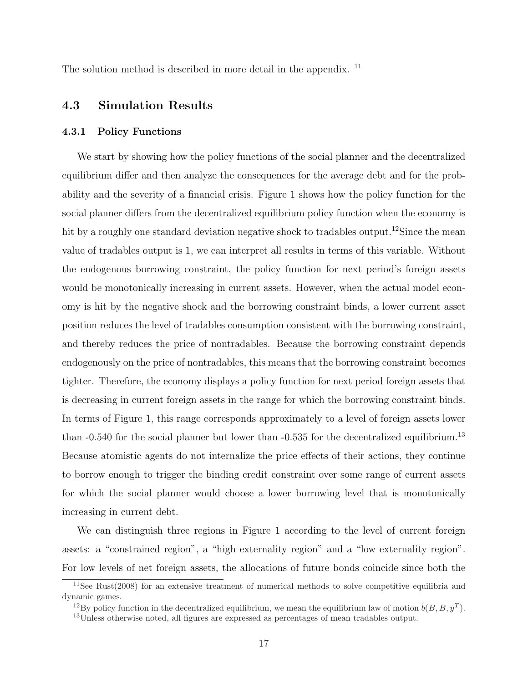The solution method is described in more detail in the appendix. <sup>11</sup>

### 4.3 Simulation Results

#### 4.3.1 Policy Functions

We start by showing how the policy functions of the social planner and the decentralized equilibrium differ and then analyze the consequences for the average debt and for the probability and the severity of a financial crisis. Figure 1 shows how the policy function for the social planner differs from the decentralized equilibrium policy function when the economy is hit by a roughly one standard deviation negative shock to tradables output.<sup>12</sup>Since the mean value of tradables output is 1, we can interpret all results in terms of this variable. Without the endogenous borrowing constraint, the policy function for next period's foreign assets would be monotonically increasing in current assets. However, when the actual model economy is hit by the negative shock and the borrowing constraint binds, a lower current asset position reduces the level of tradables consumption consistent with the borrowing constraint, and thereby reduces the price of nontradables. Because the borrowing constraint depends endogenously on the price of nontradables, this means that the borrowing constraint becomes tighter. Therefore, the economy displays a policy function for next period foreign assets that is decreasing in current foreign assets in the range for which the borrowing constraint binds. In terms of Figure 1, this range corresponds approximately to a level of foreign assets lower than  $-0.540$  for the social planner but lower than  $-0.535$  for the decentralized equilibrium.<sup>13</sup> Because atomistic agents do not internalize the price effects of their actions, they continue to borrow enough to trigger the binding credit constraint over some range of current assets for which the social planner would choose a lower borrowing level that is monotonically increasing in current debt.

We can distinguish three regions in Figure 1 according to the level of current foreign assets: a "constrained region", a "high externality region" and a "low externality region". For low levels of net foreign assets, the allocations of future bonds coincide since both the

<sup>11</sup>See Rust(2008) for an extensive treatment of numerical methods to solve competitive equilibria and dynamic games.

<sup>&</sup>lt;sup>12</sup>By policy function in the decentralized equilibrium, we mean the equilibrium law of motion  $\hat{b}(B, B, y^T)$ .

<sup>13</sup>Unless otherwise noted, all figures are expressed as percentages of mean tradables output.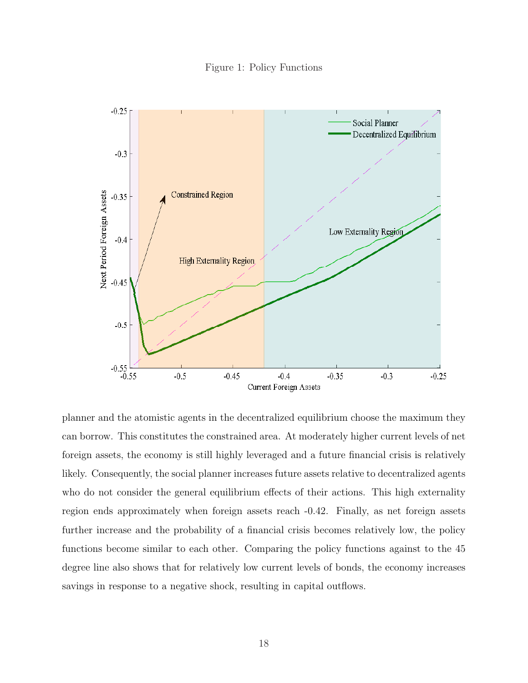Figure 1: Policy Functions



planner and the atomistic agents in the decentralized equilibrium choose the maximum they can borrow. This constitutes the constrained area. At moderately higher current levels of net foreign assets, the economy is still highly leveraged and a future financial crisis is relatively likely. Consequently, the social planner increases future assets relative to decentralized agents who do not consider the general equilibrium effects of their actions. This high externality region ends approximately when foreign assets reach -0.42. Finally, as net foreign assets further increase and the probability of a financial crisis becomes relatively low, the policy functions become similar to each other. Comparing the policy functions against to the 45 degree line also shows that for relatively low current levels of bonds, the economy increases savings in response to a negative shock, resulting in capital outflows.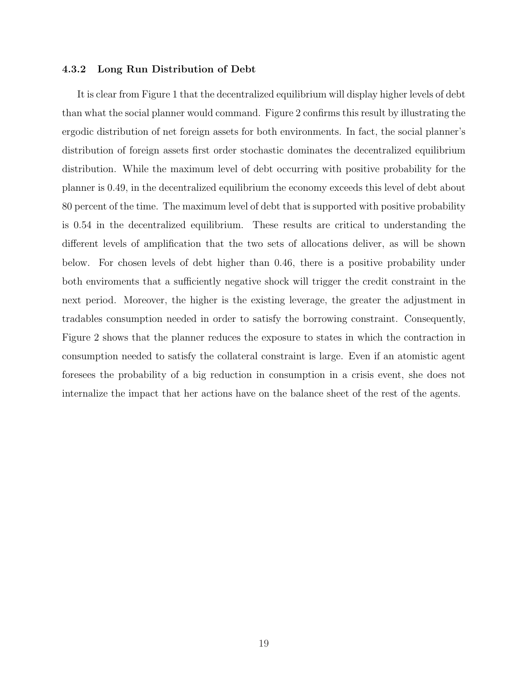#### 4.3.2 Long Run Distribution of Debt

It is clear from Figure 1 that the decentralized equilibrium will display higher levels of debt than what the social planner would command. Figure 2 confirms this result by illustrating the ergodic distribution of net foreign assets for both environments. In fact, the social planner's distribution of foreign assets first order stochastic dominates the decentralized equilibrium distribution. While the maximum level of debt occurring with positive probability for the planner is 0.49, in the decentralized equilibrium the economy exceeds this level of debt about 80 percent of the time. The maximum level of debt that is supported with positive probability is 0.54 in the decentralized equilibrium. These results are critical to understanding the different levels of amplification that the two sets of allocations deliver, as will be shown below. For chosen levels of debt higher than 0.46, there is a positive probability under both enviroments that a sufficiently negative shock will trigger the credit constraint in the next period. Moreover, the higher is the existing leverage, the greater the adjustment in tradables consumption needed in order to satisfy the borrowing constraint. Consequently, Figure 2 shows that the planner reduces the exposure to states in which the contraction in consumption needed to satisfy the collateral constraint is large. Even if an atomistic agent foresees the probability of a big reduction in consumption in a crisis event, she does not internalize the impact that her actions have on the balance sheet of the rest of the agents.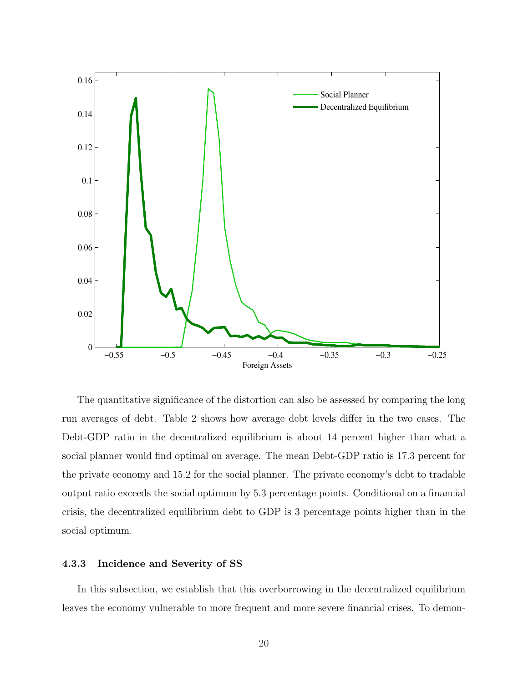

The quantitative significance of the distortion can also be assessed by comparing the long run averages of debt. Table 2 shows how average debt levels differ in the two cases. The Debt-GDP ratio in the decentralized equilibrium is about 14 percent higher than what a social planner would find optimal on average. The mean Debt-GDP ratio is 17.3 percent for the private economy and 15.2 for the social planner. The private economy's debt to tradable output ratio exceeds the social optimum by 5.3 percentage points. Conditional on a financial crisis, the decentralized equilibrium debt to GDP is 3 percentage points higher than in the social optimum.

### 4.3.3 Incidence and Severity of SS

In this subsection, we establish that this overborrowing in the decentralized equilibrium leaves the economy vulnerable to more frequent and more severe financial crises. To demon-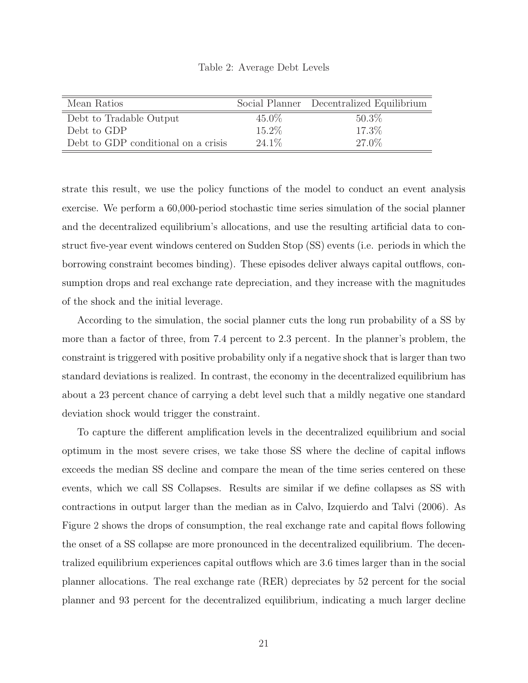| Table 2: Average Debt Levels |  |
|------------------------------|--|
|------------------------------|--|

| Mean Ratios                         |          | Social Planner Decentralized Equilibrium |
|-------------------------------------|----------|------------------------------------------|
| Debt to Tradable Output             | $45.0\%$ | $50.3\%$                                 |
| Debt to GDP                         | 15.2%    | 17.3%                                    |
| Debt to GDP conditional on a crisis | $24.1\%$ | 27.0%                                    |

strate this result, we use the policy functions of the model to conduct an event analysis exercise. We perform a 60,000-period stochastic time series simulation of the social planner and the decentralized equilibrium's allocations, and use the resulting artificial data to construct five-year event windows centered on Sudden Stop (SS) events (i.e. periods in which the borrowing constraint becomes binding). These episodes deliver always capital outflows, consumption drops and real exchange rate depreciation, and they increase with the magnitudes of the shock and the initial leverage.

According to the simulation, the social planner cuts the long run probability of a SS by more than a factor of three, from 7.4 percent to 2.3 percent. In the planner's problem, the constraint is triggered with positive probability only if a negative shock that is larger than two standard deviations is realized. In contrast, the economy in the decentralized equilibrium has about a 23 percent chance of carrying a debt level such that a mildly negative one standard deviation shock would trigger the constraint.

To capture the different amplification levels in the decentralized equilibrium and social optimum in the most severe crises, we take those SS where the decline of capital inflows exceeds the median SS decline and compare the mean of the time series centered on these events, which we call SS Collapses. Results are similar if we define collapses as SS with contractions in output larger than the median as in Calvo, Izquierdo and Talvi (2006). As Figure 2 shows the drops of consumption, the real exchange rate and capital flows following the onset of a SS collapse are more pronounced in the decentralized equilibrium. The decentralized equilibrium experiences capital outflows which are 3.6 times larger than in the social planner allocations. The real exchange rate (RER) depreciates by 52 percent for the social planner and 93 percent for the decentralized equilibrium, indicating a much larger decline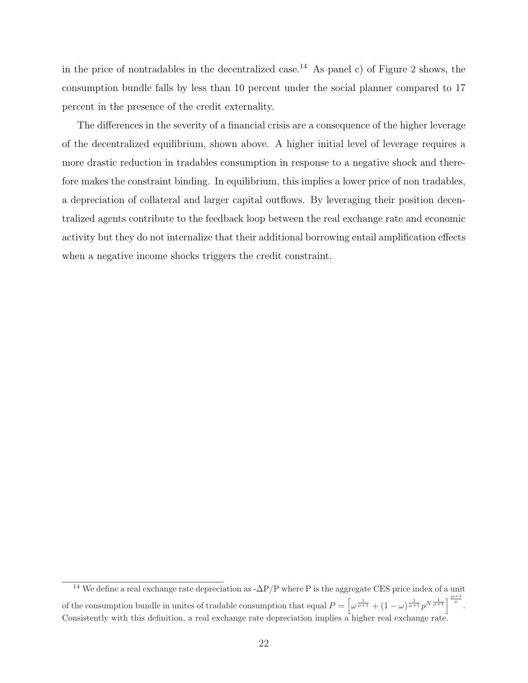in the price of nontradables in the decentralized case.<sup>14</sup> As panel c) of Figure 2 shows, the consumption bundle falls by less than 10 percent under the social planner compared to 17 percent in the presence of the credit externality.

The differences in the severity of a financial crisis are a consequence of the higher leverage of the decentralized equilibrium, shown above. A higher initial level of leverage requires a more drastic reduction in tradables consumption in response to a negative shock and therefore makes the constraint binding. In equilibrium, this implies a lower price of non tradables, a depreciation of collateral and larger capital outflows. By leveraging their position decentralized agents contribute to the feedback loop between the real exchange rate and economic activity but they do not internalize that their additional borrowing entail amplification effects when a negative income shocks triggers the credit constraint.

<sup>&</sup>lt;sup>14</sup> We define a real exchange rate depreciation as - $\Delta P/P$  where P is the aggregate CES price index of a unit of the consumption bundle in unites of tradable consumption that equal  $P = \left[\omega^{\frac{1}{\mu+1}} + (1-\omega)^{\frac{1}{\mu+1}}p^{N^{\frac{1}{\mu+1}}}\right]^{\frac{\mu+1}{\mu}}$ . Consistently with this definition, a real exchange rate depreciation implies a higher real exchange rate.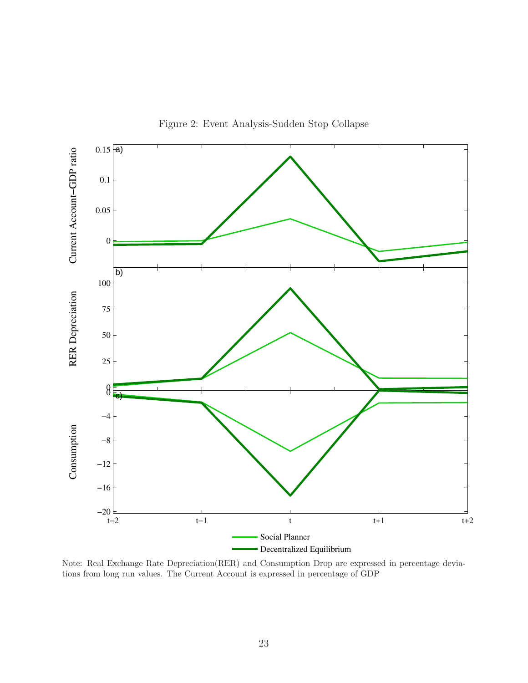

Figure 2: Event Analysis-Sudden Stop Collapse

Note: Real Exchange Rate Depreciation(RER) and Consumption Drop are expressed in percentage deviations from long run values. The Current Account is expressed in percentage of GDP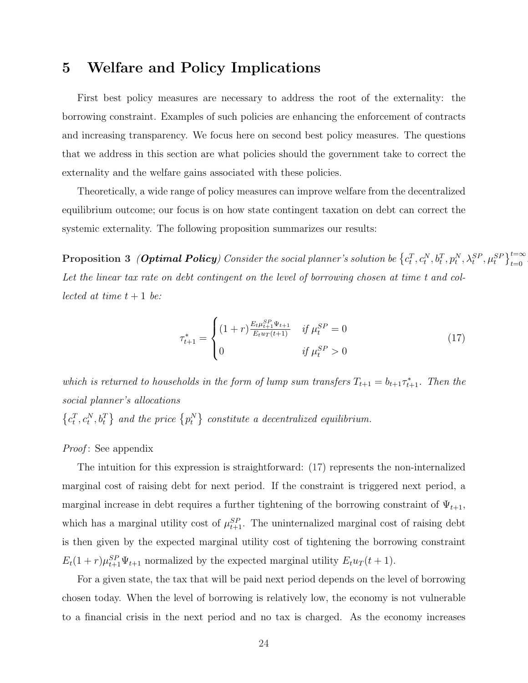### 5 Welfare and Policy Implications

First best policy measures are necessary to address the root of the externality: the borrowing constraint. Examples of such policies are enhancing the enforcement of contracts and increasing transparency. We focus here on second best policy measures. The questions that we address in this section are what policies should the government take to correct the externality and the welfare gains associated with these policies.

Theoretically, a wide range of policy measures can improve welfare from the decentralized equilibrium outcome; our focus is on how state contingent taxation on debt can correct the systemic externality. The following proposition summarizes our results:

 $\textbf{Proposition 3 \ \ (Optimal \ \}Policy) \ \textit{Consider the social planner's solution be} \ \big\{c_t^T, c_t^N, b_t^T, p_t^N, \lambda_t^{SP}, \mu_t^{SP} \big\}_{t=0}^{t=\infty}$ Let the linear tax rate on debt contingent on the level of borrowing chosen at time t and collected at time  $t + 1$  be:

$$
\tau_{t+1}^{*} = \begin{cases} (1+r)\frac{E_t \mu_{t+1}^{SP} \Psi_{t+1}}{E_t u_T(t+1)} & \text{if } \mu_t^{SP} = 0\\ 0 & \text{if } \mu_t^{SP} > 0 \end{cases}
$$
(17)

which is returned to households in the form of lump sum transfers  $T_{t+1} = b_{t+1} \tau_{t+1}^*$ . Then the social planner's allocations  $\{c_t^T, c_t^N, b_t^T\}$  and the price  $\{p_t^N\}$  constitute a decentralized equilibrium.

*Proof*: See appendix

The intuition for this expression is straightforward: (17) represents the non-internalized marginal cost of raising debt for next period. If the constraint is triggered next period, a marginal increase in debt requires a further tightening of the borrowing constraint of  $\Psi_{t+1}$ , which has a marginal utility cost of  $\mu_{t+1}^{SP}$ . The uninternalized marginal cost of raising debt is then given by the expected marginal utility cost of tightening the borrowing constraint  $E_t(1+r)\mu_{t+1}^{SP}\Psi_{t+1}$  normalized by the expected marginal utility  $E_t u_T(t+1)$ .

For a given state, the tax that will be paid next period depends on the level of borrowing chosen today. When the level of borrowing is relatively low, the economy is not vulnerable to a financial crisis in the next period and no tax is charged. As the economy increases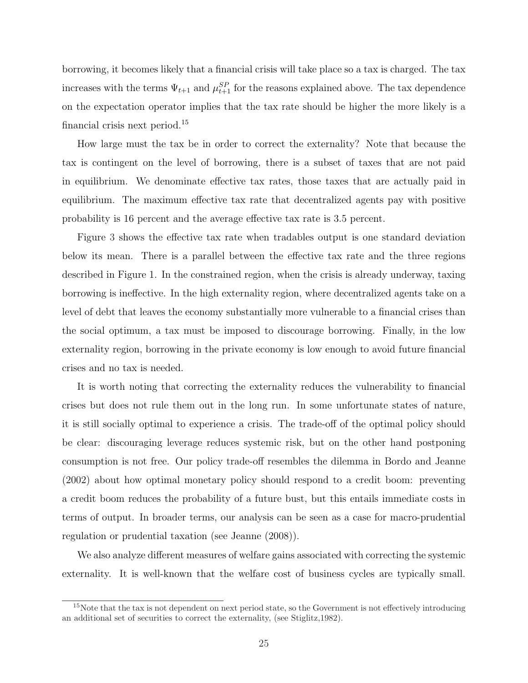borrowing, it becomes likely that a financial crisis will take place so a tax is charged. The tax increases with the terms  $\Psi_{t+1}$  and  $\mu_{t+1}^{SP}$  for the reasons explained above. The tax dependence on the expectation operator implies that the tax rate should be higher the more likely is a financial crisis next period.<sup>15</sup>

How large must the tax be in order to correct the externality? Note that because the tax is contingent on the level of borrowing, there is a subset of taxes that are not paid in equilibrium. We denominate effective tax rates, those taxes that are actually paid in equilibrium. The maximum effective tax rate that decentralized agents pay with positive probability is 16 percent and the average effective tax rate is 3.5 percent.

Figure 3 shows the effective tax rate when tradables output is one standard deviation below its mean. There is a parallel between the effective tax rate and the three regions described in Figure 1. In the constrained region, when the crisis is already underway, taxing borrowing is ineffective. In the high externality region, where decentralized agents take on a level of debt that leaves the economy substantially more vulnerable to a financial crises than the social optimum, a tax must be imposed to discourage borrowing. Finally, in the low externality region, borrowing in the private economy is low enough to avoid future financial crises and no tax is needed.

It is worth noting that correcting the externality reduces the vulnerability to financial crises but does not rule them out in the long run. In some unfortunate states of nature, it is still socially optimal to experience a crisis. The trade-off of the optimal policy should be clear: discouraging leverage reduces systemic risk, but on the other hand postponing consumption is not free. Our policy trade-off resembles the dilemma in Bordo and Jeanne (2002) about how optimal monetary policy should respond to a credit boom: preventing a credit boom reduces the probability of a future bust, but this entails immediate costs in terms of output. In broader terms, our analysis can be seen as a case for macro-prudential regulation or prudential taxation (see Jeanne (2008)).

We also analyze different measures of welfare gains associated with correcting the systemic externality. It is well-known that the welfare cost of business cycles are typically small.

<sup>&</sup>lt;sup>15</sup>Note that the tax is not dependent on next period state, so the Government is not effectively introducing an additional set of securities to correct the externality, (see Stiglitz,1982).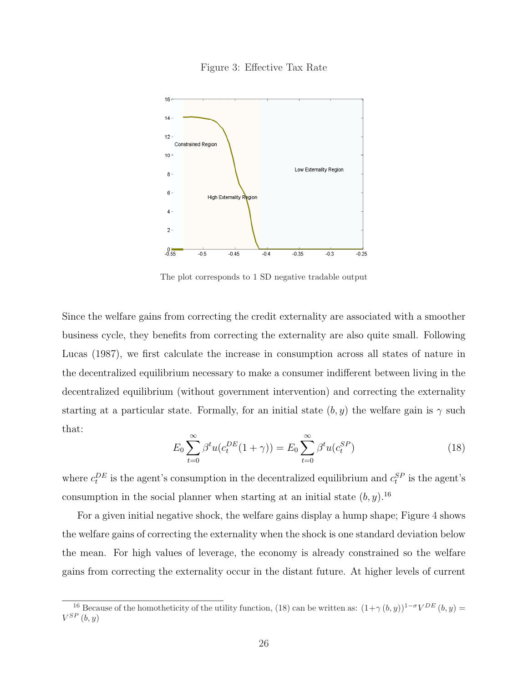



The plot corresponds to 1 SD negative tradable output

Since the welfare gains from correcting the credit externality are associated with a smoother business cycle, they benefits from correcting the externality are also quite small. Following Lucas (1987), we first calculate the increase in consumption across all states of nature in the decentralized equilibrium necessary to make a consumer indifferent between living in the decentralized equilibrium (without government intervention) and correcting the externality starting at a particular state. Formally, for an initial state  $(b, y)$  the welfare gain is  $\gamma$  such that:

$$
E_0 \sum_{t=0}^{\infty} \beta^t u(c_t^{DE}(1+\gamma)) = E_0 \sum_{t=0}^{\infty} \beta^t u(c_t^{SP})
$$
\n(18)

where  $c_t^{DE}$  is the agent's consumption in the decentralized equilibrium and  $c_t^{SP}$  is the agent's consumption in the social planner when starting at an initial state  $(b, y)$ .<sup>16</sup>

For a given initial negative shock, the welfare gains display a hump shape; Figure 4 shows the welfare gains of correcting the externality when the shock is one standard deviation below the mean. For high values of leverage, the economy is already constrained so the welfare gains from correcting the externality occur in the distant future. At higher levels of current

<sup>&</sup>lt;sup>16</sup> Because of the homotheticity of the utility function, (18) can be written as:  $(1+\gamma(b,y))^{1-\sigma}V^{DE}(b,y)$  $V^{SP}(b, y)$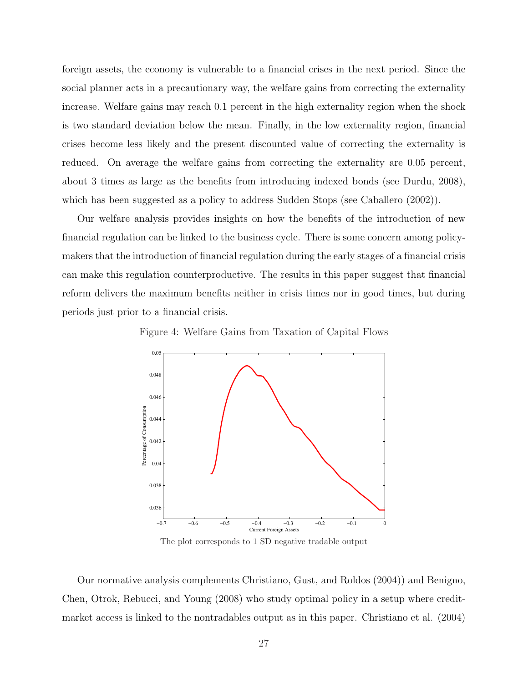foreign assets, the economy is vulnerable to a financial crises in the next period. Since the social planner acts in a precautionary way, the welfare gains from correcting the externality increase. Welfare gains may reach 0.1 percent in the high externality region when the shock is two standard deviation below the mean. Finally, in the low externality region, financial crises become less likely and the present discounted value of correcting the externality is reduced. On average the welfare gains from correcting the externality are 0.05 percent, about 3 times as large as the benefits from introducing indexed bonds (see Durdu, 2008), which has been suggested as a policy to address Sudden Stops (see Caballero (2002)).

Our welfare analysis provides insights on how the benefits of the introduction of new financial regulation can be linked to the business cycle. There is some concern among policymakers that the introduction of financial regulation during the early stages of a financial crisis can make this regulation counterproductive. The results in this paper suggest that financial reform delivers the maximum benefits neither in crisis times nor in good times, but during periods just prior to a financial crisis.

Figure 4: Welfare Gains from Taxation of Capital Flows



The plot corresponds to 1 SD negative tradable output

Our normative analysis complements Christiano, Gust, and Roldos (2004)) and Benigno, Chen, Otrok, Rebucci, and Young (2008) who study optimal policy in a setup where creditmarket access is linked to the nontradables output as in this paper. Christiano et al. (2004)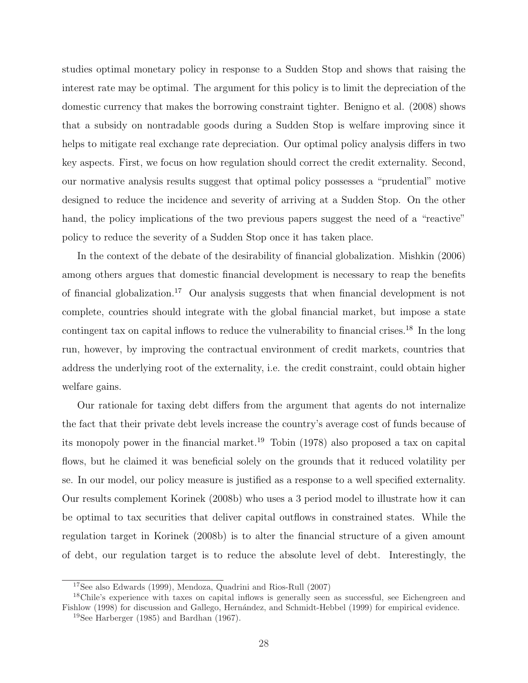studies optimal monetary policy in response to a Sudden Stop and shows that raising the interest rate may be optimal. The argument for this policy is to limit the depreciation of the domestic currency that makes the borrowing constraint tighter. Benigno et al. (2008) shows that a subsidy on nontradable goods during a Sudden Stop is welfare improving since it helps to mitigate real exchange rate depreciation. Our optimal policy analysis differs in two key aspects. First, we focus on how regulation should correct the credit externality. Second, our normative analysis results suggest that optimal policy possesses a "prudential" motive designed to reduce the incidence and severity of arriving at a Sudden Stop. On the other hand, the policy implications of the two previous papers suggest the need of a "reactive" policy to reduce the severity of a Sudden Stop once it has taken place.

In the context of the debate of the desirability of financial globalization. Mishkin (2006) among others argues that domestic financial development is necessary to reap the benefits of financial globalization.<sup>17</sup> Our analysis suggests that when financial development is not complete, countries should integrate with the global financial market, but impose a state contingent tax on capital inflows to reduce the vulnerability to financial crises.<sup>18</sup> In the long run, however, by improving the contractual environment of credit markets, countries that address the underlying root of the externality, i.e. the credit constraint, could obtain higher welfare gains.

Our rationale for taxing debt differs from the argument that agents do not internalize the fact that their private debt levels increase the country's average cost of funds because of its monopoly power in the financial market.<sup>19</sup> Tobin (1978) also proposed a tax on capital flows, but he claimed it was beneficial solely on the grounds that it reduced volatility per se. In our model, our policy measure is justified as a response to a well specified externality. Our results complement Korinek (2008b) who uses a 3 period model to illustrate how it can be optimal to tax securities that deliver capital outflows in constrained states. While the regulation target in Korinek (2008b) is to alter the financial structure of a given amount of debt, our regulation target is to reduce the absolute level of debt. Interestingly, the

<sup>17</sup>See also Edwards (1999), Mendoza, Quadrini and Rios-Rull (2007)

<sup>18</sup>Chile's experience with taxes on capital inflows is generally seen as successful, see Eichengreen and Fishlow (1998) for discussion and Gallego, Hernández, and Schmidt-Hebbel (1999) for empirical evidence.

<sup>&</sup>lt;sup>19</sup>See Harberger (1985) and Bardhan (1967).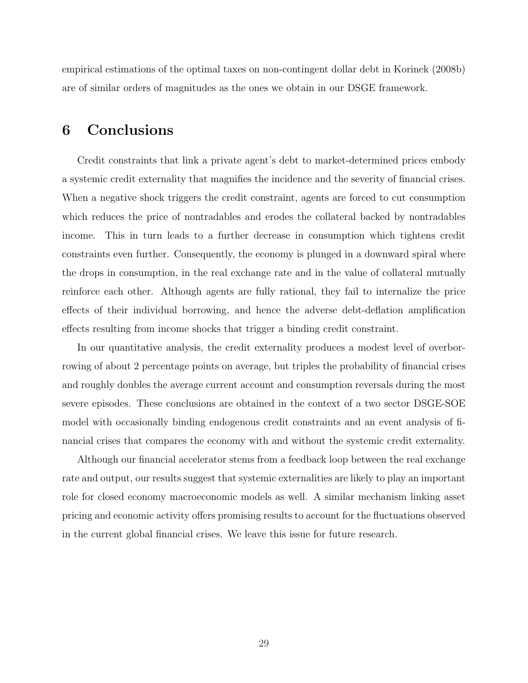empirical estimations of the optimal taxes on non-contingent dollar debt in Korinek (2008b) are of similar orders of magnitudes as the ones we obtain in our DSGE framework.

### 6 Conclusions

Credit constraints that link a private agent's debt to market-determined prices embody a systemic credit externality that magnifies the incidence and the severity of financial crises. When a negative shock triggers the credit constraint, agents are forced to cut consumption which reduces the price of nontradables and erodes the collateral backed by nontradables income. This in turn leads to a further decrease in consumption which tightens credit constraints even further. Consequently, the economy is plunged in a downward spiral where the drops in consumption, in the real exchange rate and in the value of collateral mutually reinforce each other. Although agents are fully rational, they fail to internalize the price effects of their individual borrowing, and hence the adverse debt-deflation amplification effects resulting from income shocks that trigger a binding credit constraint.

In our quantitative analysis, the credit externality produces a modest level of overborrowing of about 2 percentage points on average, but triples the probability of financial crises and roughly doubles the average current account and consumption reversals during the most severe episodes. These conclusions are obtained in the context of a two sector DSGE-SOE model with occasionally binding endogenous credit constraints and an event analysis of financial crises that compares the economy with and without the systemic credit externality.

Although our financial accelerator stems from a feedback loop between the real exchange rate and output, our results suggest that systemic externalities are likely to play an important role for closed economy macroeconomic models as well. A similar mechanism linking asset pricing and economic activity offers promising results to account for the fluctuations observed in the current global financial crises. We leave this issue for future research.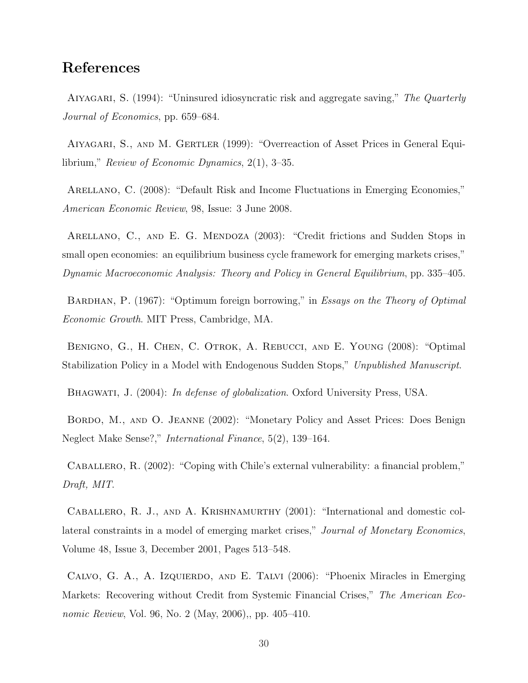### References

AIYAGARI, S. (1994): "Uninsured idiosyncratic risk and aggregate saving," The Quarterly Journal of Economics, pp. 659–684.

Aiyagari, S., and M. Gertler (1999): "Overreaction of Asset Prices in General Equilibrium," Review of Economic Dynamics, 2(1), 3–35.

Arellano, C. (2008): "Default Risk and Income Fluctuations in Emerging Economies," American Economic Review, 98, Issue: 3 June 2008.

ARELLANO, C., AND E. G. MENDOZA (2003): "Credit frictions and Sudden Stops in small open economies: an equilibrium business cycle framework for emerging markets crises," Dynamic Macroeconomic Analysis: Theory and Policy in General Equilibrium, pp. 335–405.

BARDHAN, P. (1967): "Optimum foreign borrowing," in Essays on the Theory of Optimal Economic Growth. MIT Press, Cambridge, MA.

Benigno, G., H. Chen, C. Otrok, A. Rebucci, and E. Young (2008): "Optimal Stabilization Policy in a Model with Endogenous Sudden Stops," Unpublished Manuscript.

BHAGWATI, J. (2004): *In defense of globalization*. Oxford University Press, USA.

Bordo, M., and O. Jeanne (2002): "Monetary Policy and Asset Prices: Does Benign Neglect Make Sense?," International Finance, 5(2), 139–164.

Caballero, R. (2002): "Coping with Chile's external vulnerability: a financial problem," Draft, MIT.

Caballero, R. J., and A. Krishnamurthy (2001): "International and domestic collateral constraints in a model of emerging market crises," Journal of Monetary Economics, Volume 48, Issue 3, December 2001, Pages 513–548.

Calvo, G. A., A. Izquierdo, and E. Talvi (2006): "Phoenix Miracles in Emerging Markets: Recovering without Credit from Systemic Financial Crises," The American Economic Review, Vol. 96, No. 2 (May, 2006),, pp. 405–410.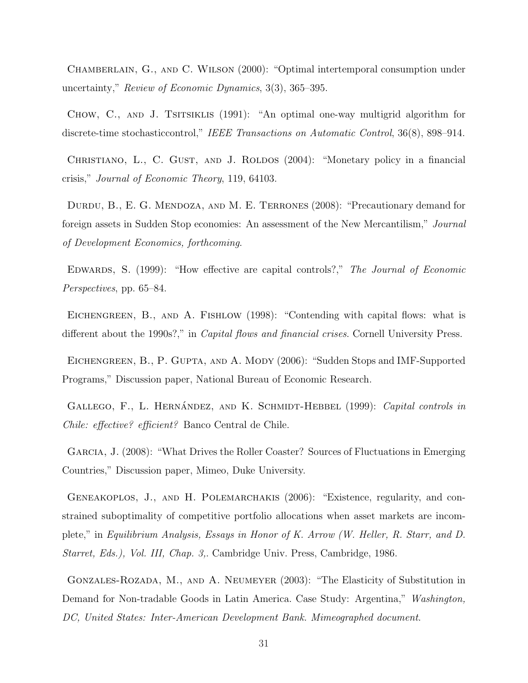Chamberlain, G., and C. Wilson (2000): "Optimal intertemporal consumption under uncertainty," Review of Economic Dynamics, 3(3), 365–395.

CHOW, C., AND J. TSITSIKLIS (1991): "An optimal one-way multigrid algorithm for discrete-time stochasticcontrol," IEEE Transactions on Automatic Control, 36(8), 898–914.

CHRISTIANO, L., C. GUST, AND J. ROLDOS (2004): "Monetary policy in a financial crisis," Journal of Economic Theory, 119, 64103.

DURDU, B., E. G. MENDOZA, AND M. E. TERRONES (2008): "Precautionary demand for foreign assets in Sudden Stop economies: An assessment of the New Mercantilism," Journal of Development Economics, forthcoming.

EDWARDS, S. (1999): "How effective are capital controls?," The Journal of Economic Perspectives, pp. 65–84.

EICHENGREEN, B., AND A. FISHLOW (1998): "Contending with capital flows: what is different about the 1990s?," in *Capital flows and financial crises*. Cornell University Press.

EICHENGREEN, B., P. GUPTA, AND A. MODY (2006): "Sudden Stops and IMF-Supported Programs," Discussion paper, National Bureau of Economic Research.

GALLEGO, F., L. HERNÁNDEZ, AND K. SCHMIDT-HEBBEL (1999): Capital controls in Chile: effective? efficient? Banco Central de Chile.

GARCIA, J. (2008): "What Drives the Roller Coaster? Sources of Fluctuations in Emerging Countries," Discussion paper, Mimeo, Duke University.

GENEAKOPLOS, J., AND H. POLEMARCHAKIS (2006): "Existence, regularity, and constrained suboptimality of competitive portfolio allocations when asset markets are incomplete," in Equilibrium Analysis, Essays in Honor of K. Arrow (W. Heller, R. Starr, and D. Starret, Eds.), Vol. III, Chap. 3,. Cambridge Univ. Press, Cambridge, 1986.

Gonzales-Rozada, M., and A. Neumeyer (2003): "The Elasticity of Substitution in Demand for Non-tradable Goods in Latin America. Case Study: Argentina," Washington, DC, United States: Inter-American Development Bank. Mimeographed document.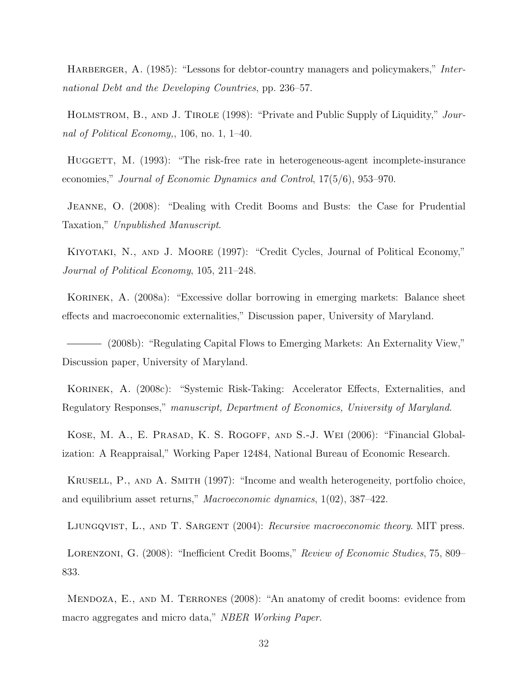HARBERGER, A. (1985): "Lessons for debtor-country managers and policymakers," International Debt and the Developing Countries, pp. 236–57.

HOLMSTROM, B., AND J. TIROLE (1998): "Private and Public Supply of Liquidity," Journal of Political Economy,, 106, no. 1, 1–40.

HUGGETT, M. (1993): "The risk-free rate in heterogeneous-agent incomplete-insurance economies," Journal of Economic Dynamics and Control, 17(5/6), 953–970.

Jeanne, O. (2008): "Dealing with Credit Booms and Busts: the Case for Prudential Taxation," Unpublished Manuscript.

Kiyotaki, N., and J. Moore (1997): "Credit Cycles, Journal of Political Economy," Journal of Political Economy, 105, 211–248.

Korinek, A. (2008a): "Excessive dollar borrowing in emerging markets: Balance sheet effects and macroeconomic externalities," Discussion paper, University of Maryland.

(2008b): "Regulating Capital Flows to Emerging Markets: An Externality View," Discussion paper, University of Maryland.

Korinek, A. (2008c): "Systemic Risk-Taking: Accelerator Effects, Externalities, and Regulatory Responses," manuscript, Department of Economics, University of Maryland.

KOSE, M. A., E. PRASAD, K. S. ROGOFF, AND S.-J. WEI (2006): "Financial Globalization: A Reappraisal," Working Paper 12484, National Bureau of Economic Research.

Krusell, P., and A. Smith (1997): "Income and wealth heterogeneity, portfolio choice, and equilibrium asset returns," Macroeconomic dynamics, 1(02), 387–422.

LJUNGQVIST, L., AND T. SARGENT (2004): Recursive macroeconomic theory. MIT press.

Lorenzoni, G. (2008): "Inefficient Credit Booms," Review of Economic Studies, 75, 809– 833.

Mendoza, E., and M. Terrones (2008): "An anatomy of credit booms: evidence from macro aggregates and micro data," NBER Working Paper.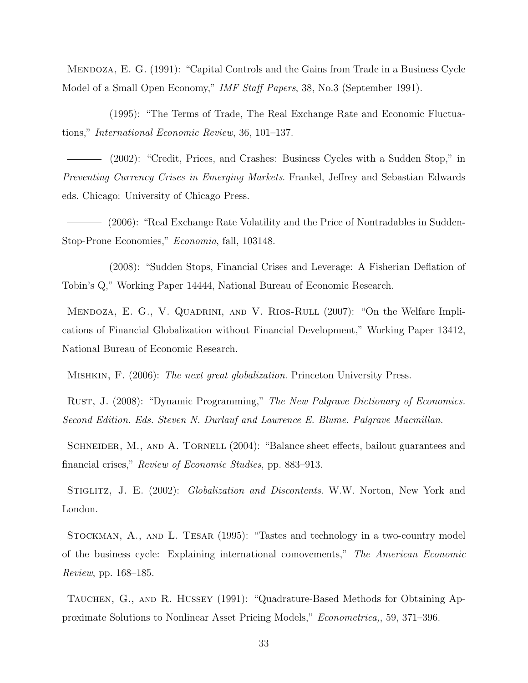Mendoza, E. G. (1991): "Capital Controls and the Gains from Trade in a Business Cycle Model of a Small Open Economy," IMF Staff Papers, 38, No.3 (September 1991).

(1995): "The Terms of Trade, The Real Exchange Rate and Economic Fluctuations," International Economic Review, 36, 101–137.

(2002): "Credit, Prices, and Crashes: Business Cycles with a Sudden Stop," in Preventing Currency Crises in Emerging Markets. Frankel, Jeffrey and Sebastian Edwards eds. Chicago: University of Chicago Press.

(2006): "Real Exchange Rate Volatility and the Price of Nontradables in Sudden-Stop-Prone Economies," Economia, fall, 103148.

(2008): "Sudden Stops, Financial Crises and Leverage: A Fisherian Deflation of Tobin's Q," Working Paper 14444, National Bureau of Economic Research.

MENDOZA, E. G., V. QUADRINI, AND V. RIOS-RULL (2007): "On the Welfare Implications of Financial Globalization without Financial Development," Working Paper 13412, National Bureau of Economic Research.

Mishkin, F. (2006): The next great globalization. Princeton University Press.

RUST, J. (2008): "Dynamic Programming," The New Palgrave Dictionary of Economics. Second Edition. Eds. Steven N. Durlauf and Lawrence E. Blume. Palgrave Macmillan.

SCHNEIDER, M., AND A. TORNELL (2004): "Balance sheet effects, bailout guarantees and financial crises," Review of Economic Studies, pp. 883–913.

STIGLITZ, J. E. (2002): Globalization and Discontents. W.W. Norton, New York and London.

Stockman, A., and L. Tesar (1995): "Tastes and technology in a two-country model of the business cycle: Explaining international comovements," The American Economic Review, pp. 168–185.

TAUCHEN, G., AND R. HUSSEY (1991): "Quadrature-Based Methods for Obtaining Approximate Solutions to Nonlinear Asset Pricing Models," Econometrica,, 59, 371–396.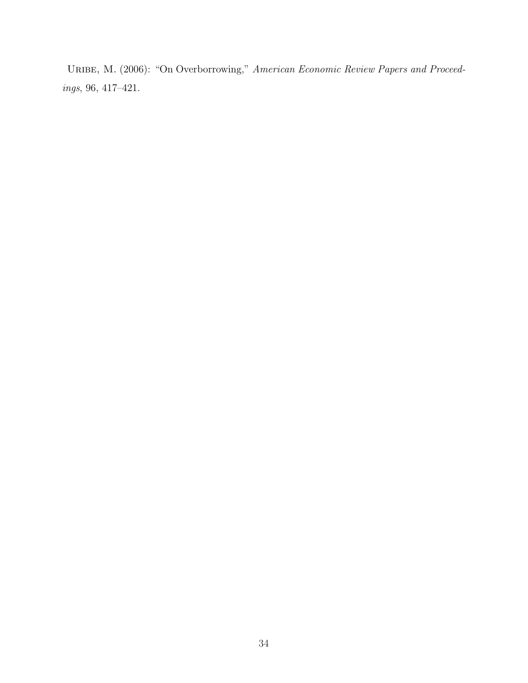URIBE, M. (2006): "On Overborrowing," American Economic Review Papers and Proceedings, 96, 417–421.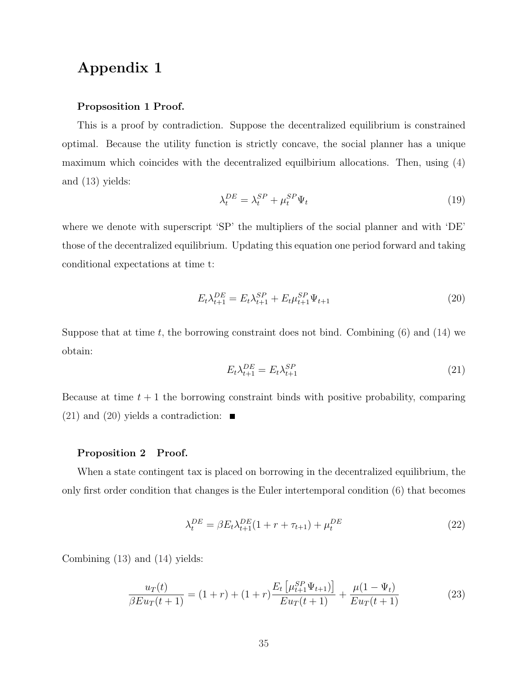## Appendix 1

#### Propsosition 1 Proof.

This is a proof by contradiction. Suppose the decentralized equilibrium is constrained optimal. Because the utility function is strictly concave, the social planner has a unique maximum which coincides with the decentralized equilbirium allocations. Then, using (4) and (13) yields:

$$
\lambda_t^{DE} = \lambda_t^{SP} + \mu_t^{SP} \Psi_t \tag{19}
$$

where we denote with superscript 'SP' the multipliers of the social planner and with 'DE' those of the decentralized equilibrium. Updating this equation one period forward and taking conditional expectations at time t:

$$
E_t \lambda_{t+1}^{DE} = E_t \lambda_{t+1}^{SP} + E_t \mu_{t+1}^{SP} \Psi_{t+1}
$$
\n(20)

Suppose that at time t, the borrowing constraint does not bind. Combining  $(6)$  and  $(14)$  we obtain:

$$
E_t \lambda_{t+1}^{DE} = E_t \lambda_{t+1}^{SP} \tag{21}
$$

Because at time  $t + 1$  the borrowing constraint binds with positive probability, comparing  $(21)$  and  $(20)$  yields a contradiction:  $\blacksquare$ 

#### Proposition 2 Proof.

When a state contingent tax is placed on borrowing in the decentralized equilibrium, the only first order condition that changes is the Euler intertemporal condition (6) that becomes

$$
\lambda_t^{DE} = \beta E_t \lambda_{t+1}^{DE} (1 + r + \tau_{t+1}) + \mu_t^{DE}
$$
\n(22)

Combining (13) and (14) yields:

$$
\frac{u_T(t)}{\beta E u_T(t+1)} = (1+r) + (1+r) \frac{E_t \left[ \mu_{t+1}^{SP} \Psi_{t+1} \right]}{E u_T(t+1)} + \frac{\mu (1 - \Psi_t)}{E u_T(t+1)} \tag{23}
$$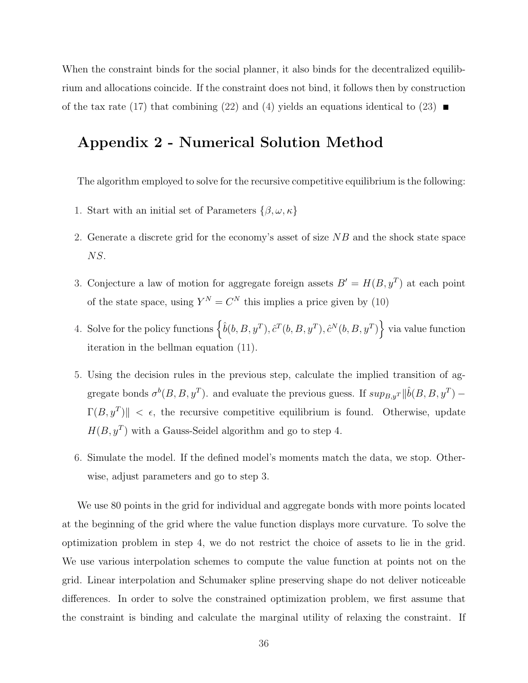When the constraint binds for the social planner, it also binds for the decentralized equilibrium and allocations coincide. If the constraint does not bind, it follows then by construction of the tax rate (17) that combining (22) and (4) yields an equations identical to (23)  $\blacksquare$ 

## Appendix 2 - Numerical Solution Method

The algorithm employed to solve for the recursive competitive equilibrium is the following:

- 1. Start with an initial set of Parameters  $\{\beta,\omega,\kappa\}$
- 2. Generate a discrete grid for the economy's asset of size NB and the shock state space NS.
- 3. Conjecture a law of motion for aggregate foreign assets  $B' = H(B, y^T)$  at each point of the state space, using  $Y^N = C^N$  this implies a price given by (10)
- 4. Solve for the policy functions  $\left\{\hat{b}(b,B,y^T), \hat{c}^T(b,B,y^T), \hat{c}^N(b,B,y^T)\right\}$  via value function iteration in the bellman equation (11).
- 5. Using the decision rules in the previous step, calculate the implied transition of aggregate bonds  $\sigma^b(B, B, y^T)$ . and evaluate the previous guess. If  $sup_{B,y^T} ||\hat{b}(B, B, y^T) \Gamma(B, y^T)$   $\leq \epsilon$ , the recursive competitive equilibrium is found. Otherwise, update  $H(B, y^T)$  with a Gauss-Seidel algorithm and go to step 4.
- 6. Simulate the model. If the defined model's moments match the data, we stop. Otherwise, adjust parameters and go to step 3.

We use 80 points in the grid for individual and aggregate bonds with more points located at the beginning of the grid where the value function displays more curvature. To solve the optimization problem in step 4, we do not restrict the choice of assets to lie in the grid. We use various interpolation schemes to compute the value function at points not on the grid. Linear interpolation and Schumaker spline preserving shape do not deliver noticeable differences. In order to solve the constrained optimization problem, we first assume that the constraint is binding and calculate the marginal utility of relaxing the constraint. If